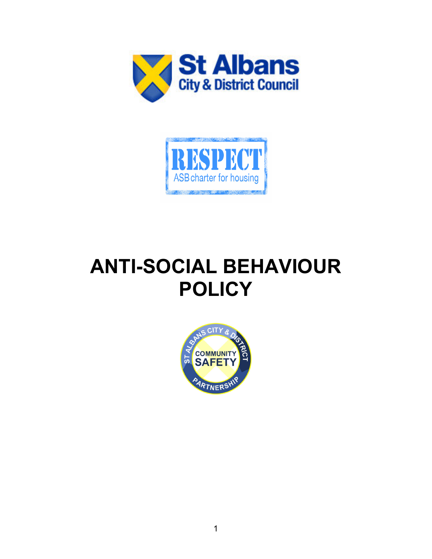



# **ANTI-SOCIAL BEHAVIOUR POLICY**

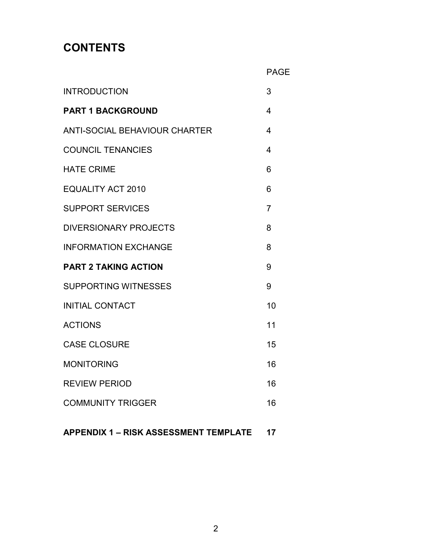# **CONTENTS**

|                               | <b>PAGE</b>             |
|-------------------------------|-------------------------|
| <b>INTRODUCTION</b>           | 3                       |
| <b>PART 1 BACKGROUND</b>      | $\overline{\mathbf{4}}$ |
| ANTI-SOCIAL BEHAVIOUR CHARTER | $\overline{\mathbf{4}}$ |
| <b>COUNCIL TENANCIES</b>      | $\overline{\mathbf{4}}$ |
| <b>HATE CRIME</b>             | 6                       |
| <b>EQUALITY ACT 2010</b>      | 6                       |
| <b>SUPPORT SERVICES</b>       | $\overline{7}$          |
| <b>DIVERSIONARY PROJECTS</b>  | 8                       |
| <b>INFORMATION EXCHANGE</b>   | 8                       |
| <b>PART 2 TAKING ACTION</b>   | 9                       |
| <b>SUPPORTING WITNESSES</b>   | 9                       |
| <b>INITIAL CONTACT</b>        | 10                      |
| <b>ACTIONS</b>                | 11                      |
| <b>CASE CLOSURE</b>           | 15                      |
| <b>MONITORING</b>             | 16                      |
| <b>REVIEW PERIOD</b>          | 16                      |
| <b>COMMUNITY TRIGGER</b>      | 16                      |
|                               |                         |

**APPENDIX 1 – RISK ASSESSMENT TEMPLATE 17**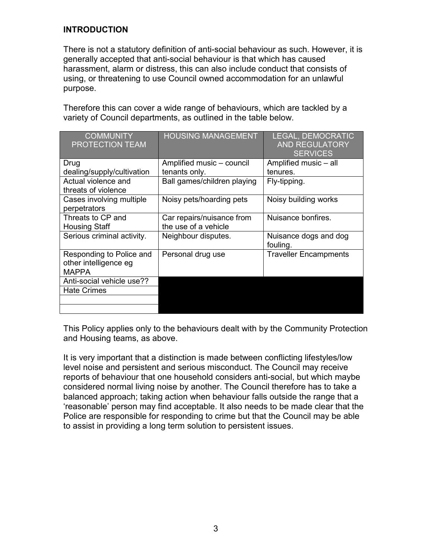#### **INTRODUCTION**

There is not a statutory definition of anti-social behaviour as such. However, it is generally accepted that anti-social behaviour is that which has caused harassment, alarm or distress, this can also include conduct that consists of using, or threatening to use Council owned accommodation for an unlawful purpose.

Therefore this can cover a wide range of behaviours, which are tackled by a variety of Council departments, as outlined in the table below.

| <b>COMMUNITY</b><br>PROTECTION TEAM                               | <b>HOUSING MANAGEMENT</b>                         | LEGAL, DEMOCRATIC<br><b>AND REGULATORY</b><br><b>SERVICES</b> |
|-------------------------------------------------------------------|---------------------------------------------------|---------------------------------------------------------------|
| Drug                                                              | Amplified music - council                         | Amplified music - all                                         |
| dealing/supply/cultivation                                        | tenants only.                                     | tenures.                                                      |
| Actual violence and<br>threats of violence                        | Ball games/children playing                       | Fly-tipping.                                                  |
| Cases involving multiple<br>perpetrators                          | Noisy pets/hoarding pets                          | Noisy building works                                          |
| Threats to CP and<br><b>Housing Staff</b>                         | Car repairs/nuisance from<br>the use of a vehicle | Nuisance bonfires.                                            |
| Serious criminal activity.                                        | Neighbour disputes.                               | Nuisance dogs and dog<br>fouling.                             |
| Responding to Police and<br>other intelligence eg<br><b>MAPPA</b> | Personal drug use                                 | <b>Traveller Encampments</b>                                  |
| Anti-social vehicle use??                                         |                                                   |                                                               |
| <b>Hate Crimes</b>                                                |                                                   |                                                               |
|                                                                   |                                                   |                                                               |
|                                                                   |                                                   |                                                               |

This Policy applies only to the behaviours dealt with by the Community Protection and Housing teams, as above.

It is very important that a distinction is made between conflicting lifestyles/low level noise and persistent and serious misconduct. The Council may receive reports of behaviour that one household considers anti-social, but which maybe considered normal living noise by another. The Council therefore has to take a balanced approach; taking action when behaviour falls outside the range that a 'reasonable' person may find acceptable. It also needs to be made clear that the Police are responsible for responding to crime but that the Council may be able to assist in providing a long term solution to persistent issues.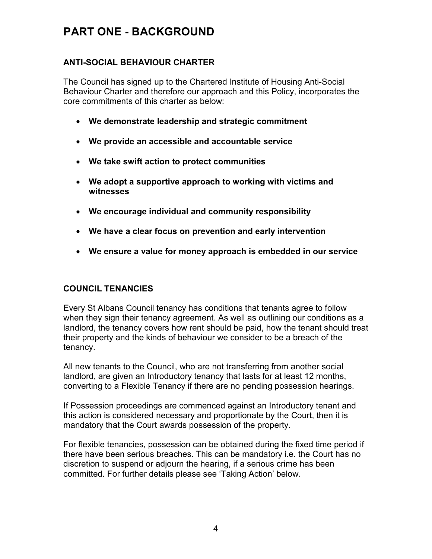# **PART ONE - BACKGROUND**

## **ANTI-SOCIAL BEHAVIOUR CHARTER**

The Council has signed up to the Chartered Institute of Housing Anti-Social Behaviour Charter and therefore our approach and this Policy, incorporates the core commitments of this charter as below:

- **We demonstrate leadership and strategic commitment**
- **We provide an accessible and accountable service**
- **We take swift action to protect communities**
- **We adopt a supportive approach to working with victims and witnesses**
- **We encourage individual and community responsibility**
- **We have a clear focus on prevention and early intervention**
- **We ensure a value for money approach is embedded in our service**

#### **COUNCIL TENANCIES**

Every St Albans Council tenancy has conditions that tenants agree to follow when they sign their tenancy agreement. As well as outlining our conditions as a landlord, the tenancy covers how rent should be paid, how the tenant should treat their property and the kinds of behaviour we consider to be a breach of the tenancy.

All new tenants to the Council, who are not transferring from another social landlord, are given an Introductory tenancy that lasts for at least 12 months, converting to a Flexible Tenancy if there are no pending possession hearings.

If Possession proceedings are commenced against an Introductory tenant and this action is considered necessary and proportionate by the Court, then it is mandatory that the Court awards possession of the property.

For flexible tenancies, possession can be obtained during the fixed time period if there have been serious breaches. This can be mandatory i.e. the Court has no discretion to suspend or adjourn the hearing, if a serious crime has been committed. For further details please see 'Taking Action' below.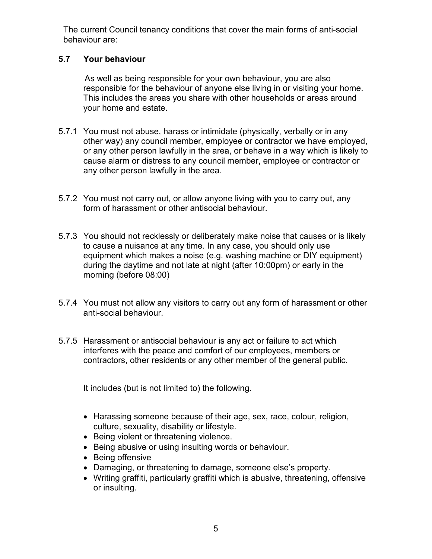The current Council tenancy conditions that cover the main forms of anti-social behaviour are:

## **5.7 Your behaviour**

 As well as being responsible for your own behaviour, you are also responsible for the behaviour of anyone else living in or visiting your home. This includes the areas you share with other households or areas around your home and estate.

- 5.7.1 You must not abuse, harass or intimidate (physically, verbally or in any other way) any council member, employee or contractor we have employed, or any other person lawfully in the area, or behave in a way which is likely to cause alarm or distress to any council member, employee or contractor or any other person lawfully in the area.
- 5.7.2 You must not carry out, or allow anyone living with you to carry out, any form of harassment or other antisocial behaviour.
- 5.7.3 You should not recklessly or deliberately make noise that causes or is likely to cause a nuisance at any time. In any case, you should only use equipment which makes a noise (e.g. washing machine or DIY equipment) during the daytime and not late at night (after 10:00pm) or early in the morning (before 08:00)
- 5.7.4 You must not allow any visitors to carry out any form of harassment or other anti-social behaviour.
- 5.7.5 Harassment or antisocial behaviour is any act or failure to act which interferes with the peace and comfort of our employees, members or contractors, other residents or any other member of the general public.

It includes (but is not limited to) the following.

- Harassing someone because of their age, sex, race, colour, religion, culture, sexuality, disability or lifestyle.
- Being violent or threatening violence.
- Being abusive or using insulting words or behaviour.
- Being offensive
- Damaging, or threatening to damage, someone else's property.
- Writing graffiti, particularly graffiti which is abusive, threatening, offensive or insulting.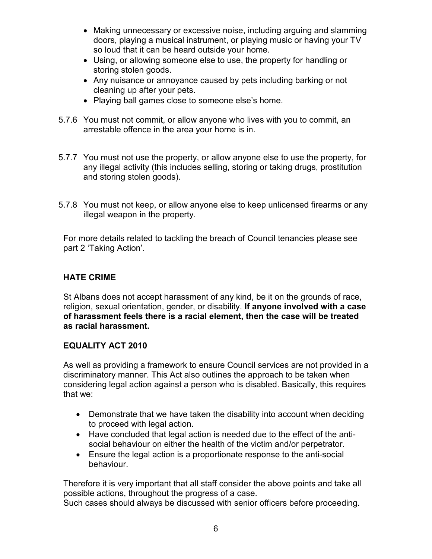- Making unnecessary or excessive noise, including arguing and slamming doors, playing a musical instrument, or playing music or having your TV so loud that it can be heard outside your home.
- Using, or allowing someone else to use, the property for handling or storing stolen goods.
- Any nuisance or annoyance caused by pets including barking or not cleaning up after your pets.
- Playing ball games close to someone else's home.
- 5.7.6 You must not commit, or allow anyone who lives with you to commit, an arrestable offence in the area your home is in.
- 5.7.7 You must not use the property, or allow anyone else to use the property, for any illegal activity (this includes selling, storing or taking drugs, prostitution and storing stolen goods).
- 5.7.8 You must not keep, or allow anyone else to keep unlicensed firearms or any illegal weapon in the property.

For more details related to tackling the breach of Council tenancies please see part 2 'Taking Action'.

# **HATE CRIME**

St Albans does not accept harassment of any kind, be it on the grounds of race, religion, sexual orientation, gender, or disability. **If anyone involved with a case of harassment feels there is a racial element, then the case will be treated as racial harassment.** 

## **EQUALITY ACT 2010**

As well as providing a framework to ensure Council services are not provided in a discriminatory manner. This Act also outlines the approach to be taken when considering legal action against a person who is disabled. Basically, this requires that we:

- Demonstrate that we have taken the disability into account when deciding to proceed with legal action.
- Have concluded that legal action is needed due to the effect of the antisocial behaviour on either the health of the victim and/or perpetrator.
- Ensure the legal action is a proportionate response to the anti-social behaviour.

Therefore it is very important that all staff consider the above points and take all possible actions, throughout the progress of a case.

Such cases should always be discussed with senior officers before proceeding.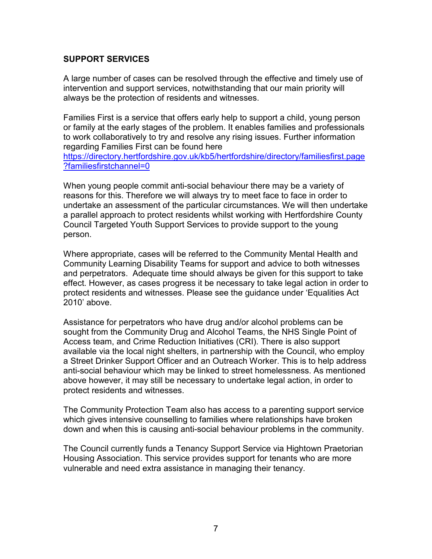#### **SUPPORT SERVICES**

A large number of cases can be resolved through the effective and timely use of intervention and support services, notwithstanding that our main priority will always be the protection of residents and witnesses.

Families First is a service that offers early help to support a child, young person or family at the early stages of the problem. It enables families and professionals to work collaboratively to try and resolve any rising issues. Further information regarding Families First can be found here https://directory.hertfordshire.gov.uk/kb5/hertfordshire/directory/familiesfirst.page

?familiesfirstchannel=0

When young people commit anti-social behaviour there may be a variety of reasons for this. Therefore we will always try to meet face to face in order to undertake an assessment of the particular circumstances. We will then undertake a parallel approach to protect residents whilst working with Hertfordshire County Council Targeted Youth Support Services to provide support to the young person.

Where appropriate, cases will be referred to the Community Mental Health and Community Learning Disability Teams for support and advice to both witnesses and perpetrators. Adequate time should always be given for this support to take effect. However, as cases progress it be necessary to take legal action in order to protect residents and witnesses. Please see the guidance under 'Equalities Act 2010' above.

Assistance for perpetrators who have drug and/or alcohol problems can be sought from the Community Drug and Alcohol Teams, the NHS Single Point of Access team, and Crime Reduction Initiatives (CRI). There is also support available via the local night shelters, in partnership with the Council, who employ a Street Drinker Support Officer and an Outreach Worker. This is to help address anti-social behaviour which may be linked to street homelessness. As mentioned above however, it may still be necessary to undertake legal action, in order to protect residents and witnesses.

The Community Protection Team also has access to a parenting support service which gives intensive counselling to families where relationships have broken down and when this is causing anti-social behaviour problems in the community.

The Council currently funds a Tenancy Support Service via Hightown Praetorian Housing Association. This service provides support for tenants who are more vulnerable and need extra assistance in managing their tenancy.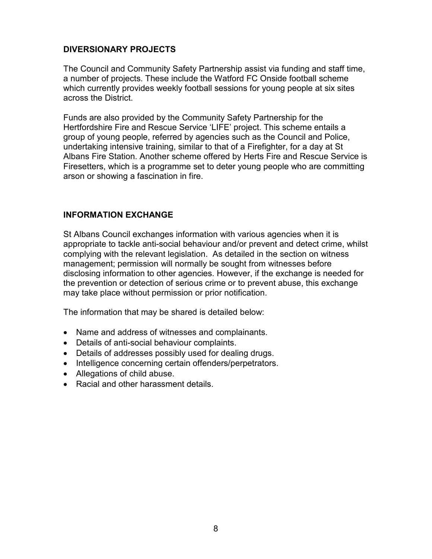## **DIVERSIONARY PROJECTS**

The Council and Community Safety Partnership assist via funding and staff time, a number of projects. These include the Watford FC Onside football scheme which currently provides weekly football sessions for young people at six sites across the District.

Funds are also provided by the Community Safety Partnership for the Hertfordshire Fire and Rescue Service 'LIFE' project. This scheme entails a group of young people, referred by agencies such as the Council and Police, undertaking intensive training, similar to that of a Firefighter, for a day at St Albans Fire Station. Another scheme offered by Herts Fire and Rescue Service is Firesetters, which is a programme set to deter young people who are committing arson or showing a fascination in fire.

# **INFORMATION EXCHANGE**

St Albans Council exchanges information with various agencies when it is appropriate to tackle anti-social behaviour and/or prevent and detect crime, whilst complying with the relevant legislation. As detailed in the section on witness management; permission will normally be sought from witnesses before disclosing information to other agencies. However, if the exchange is needed for the prevention or detection of serious crime or to prevent abuse, this exchange may take place without permission or prior notification.

The information that may be shared is detailed below:

- Name and address of witnesses and complainants.
- Details of anti-social behaviour complaints.
- Details of addresses possibly used for dealing drugs.
- Intelligence concerning certain offenders/perpetrators.
- Allegations of child abuse.
- Racial and other harassment details.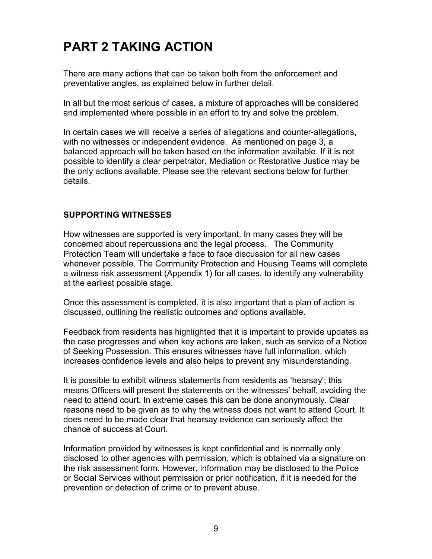# **PART 2 TAKING ACTION**

There are many actions that can be taken both from the enforcement and preventative angles, as explained below in further detail.

In all but the most serious of cases, a mixture of approaches will be considered and implemented where possible in an effort to try and solve the problem.

In certain cases we will receive a series of allegations and counter-allegations, with no witnesses or independent evidence. As mentioned on page 3, a balanced approach will be taken based on the information available. If it is not possible to identify a clear perpetrator, Mediation or Restorative Justice may be the only actions available. Please see the relevant sections below for further details.

#### **SUPPORTING WITNESSES**

How witnesses are supported is very important. In many cases they will be concerned about repercussions and the legal process. The Community Protection Team will undertake a face to face discussion for all new cases whenever possible. The Community Protection and Housing Teams will complete a witness risk assessment (Appendix 1) for all cases, to identify any vulnerability at the earliest possible stage.

Once this assessment is completed, it is also important that a plan of action is discussed, outlining the realistic outcomes and options available.

Feedback from residents has highlighted that it is important to provide updates as the case progresses and when key actions are taken, such as service of a Notice of Seeking Possession. This ensures witnesses have full information, which increases confidence levels and also helps to prevent any misunderstanding.

It is possible to exhibit witness statements from residents as 'hearsay'; this means Officers will present the statements on the witnesses' behalf, avoiding the need to attend court. In extreme cases this can be done anonymously. Clear reasons need to be given as to why the witness does not want to attend Court. It does need to be made clear that hearsay evidence can seriously affect the chance of success at Court.

Information provided by witnesses is kept confidential and is normally only disclosed to other agencies with permission, which is obtained via a signature on the risk assessment form. However, information may be disclosed to the Police or Social Services without permission or prior notification, if it is needed for the prevention or detection of crime or to prevent abuse.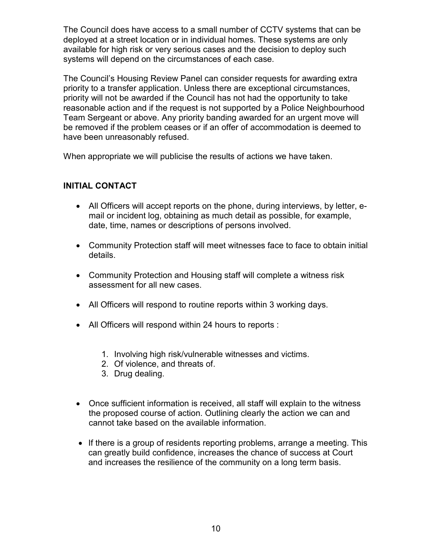The Council does have access to a small number of CCTV systems that can be deployed at a street location or in individual homes. These systems are only available for high risk or very serious cases and the decision to deploy such systems will depend on the circumstances of each case.

The Council's Housing Review Panel can consider requests for awarding extra priority to a transfer application. Unless there are exceptional circumstances, priority will not be awarded if the Council has not had the opportunity to take reasonable action and if the request is not supported by a Police Neighbourhood Team Sergeant or above. Any priority banding awarded for an urgent move will be removed if the problem ceases or if an offer of accommodation is deemed to have been unreasonably refused.

When appropriate we will publicise the results of actions we have taken.

# **INITIAL CONTACT**

- All Officers will accept reports on the phone, during interviews, by letter, email or incident log, obtaining as much detail as possible, for example, date, time, names or descriptions of persons involved.
- Community Protection staff will meet witnesses face to face to obtain initial details.
- Community Protection and Housing staff will complete a witness risk assessment for all new cases.
- All Officers will respond to routine reports within 3 working days.
- All Officers will respond within 24 hours to reports :
	- 1. Involving high risk/vulnerable witnesses and victims.
	- 2. Of violence, and threats of.
	- 3. Drug dealing.
- Once sufficient information is received, all staff will explain to the witness the proposed course of action. Outlining clearly the action we can and cannot take based on the available information.
- If there is a group of residents reporting problems, arrange a meeting. This can greatly build confidence, increases the chance of success at Court and increases the resilience of the community on a long term basis.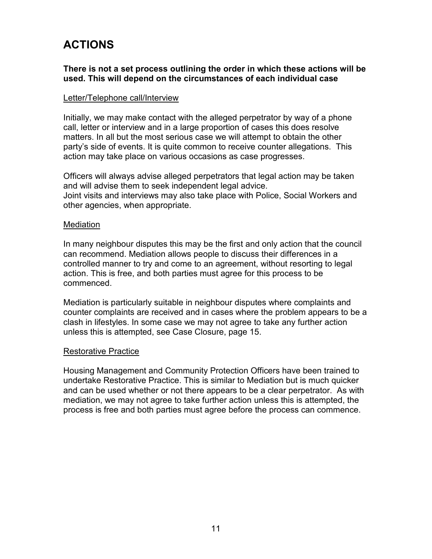# **ACTIONS**

#### **There is not a set process outlining the order in which these actions will be used. This will depend on the circumstances of each individual case**

#### Letter/Telephone call/Interview

Initially, we may make contact with the alleged perpetrator by way of a phone call, letter or interview and in a large proportion of cases this does resolve matters. In all but the most serious case we will attempt to obtain the other party's side of events. It is quite common to receive counter allegations. This action may take place on various occasions as case progresses.

Officers will always advise alleged perpetrators that legal action may be taken and will advise them to seek independent legal advice. Joint visits and interviews may also take place with Police, Social Workers and other agencies, when appropriate.

#### **Mediation**

In many neighbour disputes this may be the first and only action that the council can recommend. Mediation allows people to discuss their differences in a controlled manner to try and come to an agreement, without resorting to legal action. This is free, and both parties must agree for this process to be commenced.

Mediation is particularly suitable in neighbour disputes where complaints and counter complaints are received and in cases where the problem appears to be a clash in lifestyles. In some case we may not agree to take any further action unless this is attempted, see Case Closure, page 15.

#### Restorative Practice

Housing Management and Community Protection Officers have been trained to undertake Restorative Practice. This is similar to Mediation but is much quicker and can be used whether or not there appears to be a clear perpetrator. As with mediation, we may not agree to take further action unless this is attempted, the process is free and both parties must agree before the process can commence.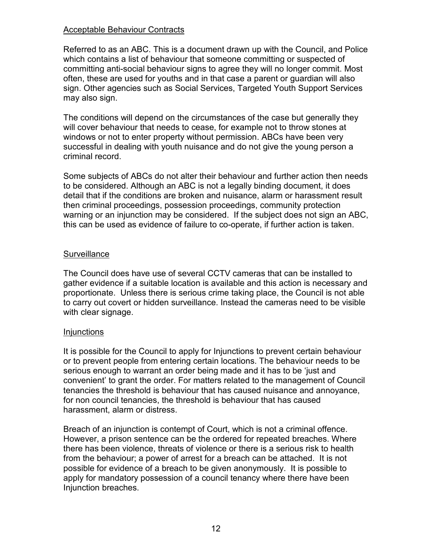#### Acceptable Behaviour Contracts

Referred to as an ABC. This is a document drawn up with the Council, and Police which contains a list of behaviour that someone committing or suspected of committing anti-social behaviour signs to agree they will no longer commit. Most often, these are used for youths and in that case a parent or guardian will also sign. Other agencies such as Social Services, Targeted Youth Support Services may also sign.

The conditions will depend on the circumstances of the case but generally they will cover behaviour that needs to cease, for example not to throw stones at windows or not to enter property without permission. ABCs have been very successful in dealing with youth nuisance and do not give the young person a criminal record.

Some subjects of ABCs do not alter their behaviour and further action then needs to be considered. Although an ABC is not a legally binding document, it does detail that if the conditions are broken and nuisance, alarm or harassment result then criminal proceedings, possession proceedings, community protection warning or an injunction may be considered. If the subject does not sign an ABC, this can be used as evidence of failure to co-operate, if further action is taken.

#### **Surveillance**

The Council does have use of several CCTV cameras that can be installed to gather evidence if a suitable location is available and this action is necessary and proportionate. Unless there is serious crime taking place, the Council is not able to carry out covert or hidden surveillance. Instead the cameras need to be visible with clear signage.

#### **Injunctions**

It is possible for the Council to apply for Injunctions to prevent certain behaviour or to prevent people from entering certain locations. The behaviour needs to be serious enough to warrant an order being made and it has to be 'just and convenient' to grant the order. For matters related to the management of Council tenancies the threshold is behaviour that has caused nuisance and annoyance, for non council tenancies, the threshold is behaviour that has caused harassment, alarm or distress.

Breach of an injunction is contempt of Court, which is not a criminal offence. However, a prison sentence can be the ordered for repeated breaches. Where there has been violence, threats of violence or there is a serious risk to health from the behaviour; a power of arrest for a breach can be attached. It is not possible for evidence of a breach to be given anonymously. It is possible to apply for mandatory possession of a council tenancy where there have been Injunction breaches.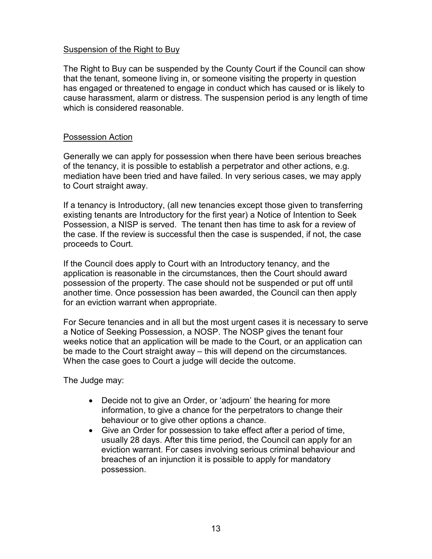#### Suspension of the Right to Buy

The Right to Buy can be suspended by the County Court if the Council can show that the tenant, someone living in, or someone visiting the property in question has engaged or threatened to engage in conduct which has caused or is likely to cause harassment, alarm or distress. The suspension period is any length of time which is considered reasonable.

#### Possession Action

Generally we can apply for possession when there have been serious breaches of the tenancy, it is possible to establish a perpetrator and other actions, e.g. mediation have been tried and have failed. In very serious cases, we may apply to Court straight away.

If a tenancy is Introductory, (all new tenancies except those given to transferring existing tenants are Introductory for the first year) a Notice of Intention to Seek Possession, a NISP is served. The tenant then has time to ask for a review of the case. If the review is successful then the case is suspended, if not, the case proceeds to Court.

If the Council does apply to Court with an Introductory tenancy, and the application is reasonable in the circumstances, then the Court should award possession of the property. The case should not be suspended or put off until another time. Once possession has been awarded, the Council can then apply for an eviction warrant when appropriate.

For Secure tenancies and in all but the most urgent cases it is necessary to serve a Notice of Seeking Possession, a NOSP. The NOSP gives the tenant four weeks notice that an application will be made to the Court, or an application can be made to the Court straight away – this will depend on the circumstances. When the case goes to Court a judge will decide the outcome.

The Judge may:

- Decide not to give an Order, or 'adjourn' the hearing for more information, to give a chance for the perpetrators to change their behaviour or to give other options a chance.
- Give an Order for possession to take effect after a period of time, usually 28 days. After this time period, the Council can apply for an eviction warrant. For cases involving serious criminal behaviour and breaches of an injunction it is possible to apply for mandatory possession.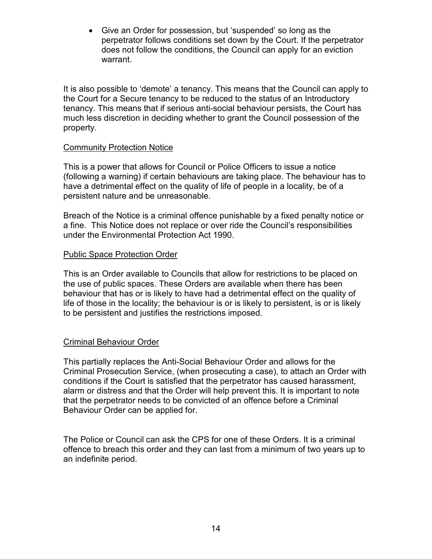• Give an Order for possession, but 'suspended' so long as the perpetrator follows conditions set down by the Court. If the perpetrator does not follow the conditions, the Council can apply for an eviction warrant.

It is also possible to 'demote' a tenancy. This means that the Council can apply to the Court for a Secure tenancy to be reduced to the status of an Introductory tenancy. This means that if serious anti-social behaviour persists, the Court has much less discretion in deciding whether to grant the Council possession of the property.

#### Community Protection Notice

This is a power that allows for Council or Police Officers to issue a notice (following a warning) if certain behaviours are taking place. The behaviour has to have a detrimental effect on the quality of life of people in a locality, be of a persistent nature and be unreasonable.

Breach of the Notice is a criminal offence punishable by a fixed penalty notice or a fine. This Notice does not replace or over ride the Council's responsibilities under the Environmental Protection Act 1990.

#### Public Space Protection Order

This is an Order available to Councils that allow for restrictions to be placed on the use of public spaces. These Orders are available when there has been behaviour that has or is likely to have had a detrimental effect on the quality of life of those in the locality; the behaviour is or is likely to persistent, is or is likely to be persistent and justifies the restrictions imposed.

#### Criminal Behaviour Order

This partially replaces the Anti-Social Behaviour Order and allows for the Criminal Prosecution Service, (when prosecuting a case), to attach an Order with conditions if the Court is satisfied that the perpetrator has caused harassment, alarm or distress and that the Order will help prevent this. It is important to note that the perpetrator needs to be convicted of an offence before a Criminal Behaviour Order can be applied for.

The Police or Council can ask the CPS for one of these Orders. It is a criminal offence to breach this order and they can last from a minimum of two years up to an indefinite period.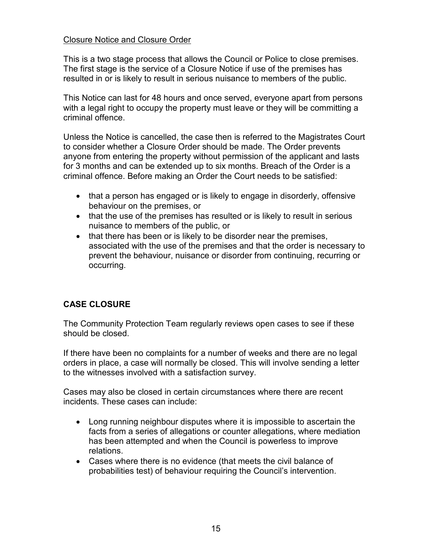#### Closure Notice and Closure Order

This is a two stage process that allows the Council or Police to close premises. The first stage is the service of a Closure Notice if use of the premises has resulted in or is likely to result in serious nuisance to members of the public.

This Notice can last for 48 hours and once served, everyone apart from persons with a legal right to occupy the property must leave or they will be committing a criminal offence.

Unless the Notice is cancelled, the case then is referred to the Magistrates Court to consider whether a Closure Order should be made. The Order prevents anyone from entering the property without permission of the applicant and lasts for 3 months and can be extended up to six months. Breach of the Order is a criminal offence. Before making an Order the Court needs to be satisfied:

- that a person has engaged or is likely to engage in disorderly, offensive behaviour on the premises, or
- that the use of the premises has resulted or is likely to result in serious nuisance to members of the public, or
- that there has been or is likely to be disorder near the premises, associated with the use of the premises and that the order is necessary to prevent the behaviour, nuisance or disorder from continuing, recurring or occurring.

# **CASE CLOSURE**

The Community Protection Team regularly reviews open cases to see if these should be closed.

If there have been no complaints for a number of weeks and there are no legal orders in place, a case will normally be closed. This will involve sending a letter to the witnesses involved with a satisfaction survey.

Cases may also be closed in certain circumstances where there are recent incidents. These cases can include:

- Long running neighbour disputes where it is impossible to ascertain the facts from a series of allegations or counter allegations, where mediation has been attempted and when the Council is powerless to improve relations.
- Cases where there is no evidence (that meets the civil balance of probabilities test) of behaviour requiring the Council's intervention.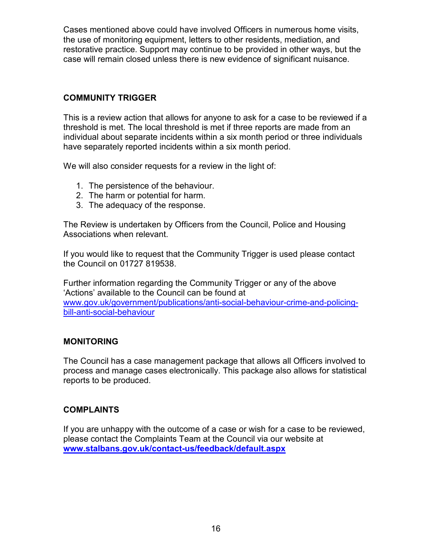Cases mentioned above could have involved Officers in numerous home visits, the use of monitoring equipment, letters to other residents, mediation, and restorative practice. Support may continue to be provided in other ways, but the case will remain closed unless there is new evidence of significant nuisance.

# **COMMUNITY TRIGGER**

This is a review action that allows for anyone to ask for a case to be reviewed if a threshold is met. The local threshold is met if three reports are made from an individual about separate incidents within a six month period or three individuals have separately reported incidents within a six month period.

We will also consider requests for a review in the light of:

- 1. The persistence of the behaviour.
- 2. The harm or potential for harm.
- 3. The adequacy of the response.

The Review is undertaken by Officers from the Council, Police and Housing Associations when relevant.

If you would like to request that the Community Trigger is used please contact the Council on 01727 819538.

Further information regarding the Community Trigger or any of the above 'Actions' available to the Council can be found at www.gov.uk/government/publications/anti-social-behaviour-crime-and-policingbill-anti-social-behaviour

#### **MONITORING**

The Council has a case management package that allows all Officers involved to process and manage cases electronically. This package also allows for statistical reports to be produced.

## **COMPLAINTS**

If you are unhappy with the outcome of a case or wish for a case to be reviewed, please contact the Complaints Team at the Council via our website at **www.stalbans.gov.uk/contact-us/feedback/default.aspx**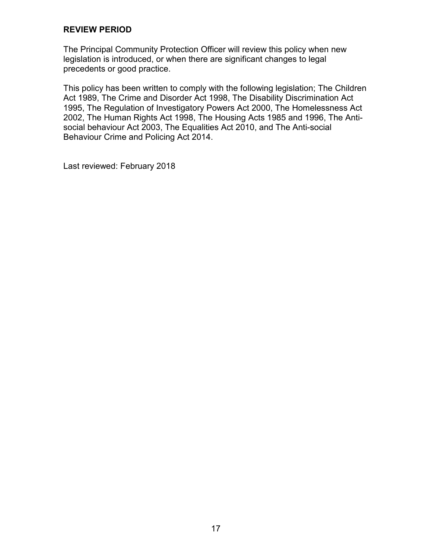#### **REVIEW PERIOD**

The Principal Community Protection Officer will review this policy when new legislation is introduced, or when there are significant changes to legal precedents or good practice.

This policy has been written to comply with the following legislation; The Children Act 1989, The Crime and Disorder Act 1998, The Disability Discrimination Act 1995, The Regulation of Investigatory Powers Act 2000, The Homelessness Act 2002, The Human Rights Act 1998, The Housing Acts 1985 and 1996, The Antisocial behaviour Act 2003, The Equalities Act 2010, and The Anti-social Behaviour Crime and Policing Act 2014.

Last reviewed: February 2018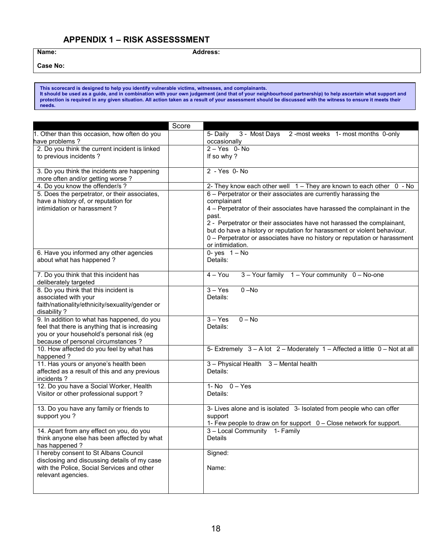# **APPENDIX 1 – RISK ASSESSSMENT**

Name: Address:

**Case No:** 

**This scorecard is designed to help you identify vulnerable victims, witnesses, and complainants. It should be used as a guide, and in combination with your own judgement (and that of your neighbourhood partnership) to help ascertain what support and protection is required in any given situation. All action taken as a result of your assessment should be discussed with the witness to ensure it meets their needs.**

|                                                                                            | Score |                                                                            |
|--------------------------------------------------------------------------------------------|-------|----------------------------------------------------------------------------|
| 1. Other than this occasion, how often do you                                              |       | 3 - Most Days 2 -most weeks 1- most months 0-only<br>5- Daily              |
| have problems?                                                                             |       | occasionally                                                               |
| 2. Do you think the current incident is linked                                             |       | $2 - Yes$ 0-No                                                             |
| to previous incidents ?                                                                    |       | If so why?                                                                 |
|                                                                                            |       |                                                                            |
| 3. Do you think the incidents are happening<br>more often and/or getting worse?            |       | 2 - Yes 0- No                                                              |
| 4. Do you know the offender/s?                                                             |       | 2- They know each other well 1 - They are known to each other 0 - No       |
| 5. Does the perpetrator, or their associates,                                              |       | 6 - Perpetrator or their associates are currently harassing the            |
| have a history of, or reputation for                                                       |       | complainant                                                                |
| intimidation or harassment?                                                                |       | 4 - Perpetrator of their associates have harassed the complainant in the   |
|                                                                                            |       | past.                                                                      |
|                                                                                            |       | 2 - Perpetrator or their associates have not harassed the complainant,     |
|                                                                                            |       | but do have a history or reputation for harassment or violent behaviour.   |
|                                                                                            |       | 0 - Perpetrator or associates have no history or reputation or harassment  |
|                                                                                            |       | or intimidation.                                                           |
| 6. Have you informed any other agencies                                                    |       | 0-yes $1-\overline{No}$                                                    |
| about what has happened?                                                                   |       | Details:                                                                   |
| 7. Do you think that this incident has                                                     |       | $\overline{4 - Y}$ ou<br>3 - Your family 1 - Your community 0 - No-one     |
| deliberately targeted                                                                      |       |                                                                            |
| 8. Do you think that this incident is                                                      |       | $3 - Yes$<br>$0 - No$                                                      |
| associated with your                                                                       |       | Details:                                                                   |
| faith/nationality/ethnicity/sexuality/gender or                                            |       |                                                                            |
| disability?                                                                                |       |                                                                            |
| 9. In addition to what has happened, do you                                                |       | $0 - No$<br>$3 - Yes$                                                      |
| feel that there is anything that is increasing                                             |       | Details:                                                                   |
| you or your household's personal risk (eg                                                  |       |                                                                            |
| because of personal circumstances ?                                                        |       |                                                                            |
| 10. How affected do you feel by what has                                                   |       | 5- Extremely 3 - A lot 2 - Moderately 1 - Affected a little 0 - Not at all |
| happened?                                                                                  |       |                                                                            |
| 11. Has yours or anyone's health been<br>affected as a result of this and any previous     |       | 3 - Physical Health 3 - Mental health<br>Details:                          |
| incidents?                                                                                 |       |                                                                            |
| 12. Do you have a Social Worker, Health                                                    |       | 1- $No$ $0 - Yes$                                                          |
| Visitor or other professional support?                                                     |       | Details:                                                                   |
|                                                                                            |       |                                                                            |
| 13. Do you have any family or friends to                                                   |       | 3- Lives alone and is isolated 3- Isolated from people who can offer       |
| support you?                                                                               |       | support                                                                    |
|                                                                                            |       | 1- Few people to draw on for support 0 - Close network for support.        |
| 14. Apart from any effect on you, do you                                                   |       | 3 - Local Community 1- Family                                              |
| think anyone else has been affected by what                                                |       | Details                                                                    |
| has happened?                                                                              |       |                                                                            |
| I hereby consent to St Albans Council                                                      |       | Signed:                                                                    |
| disclosing and discussing details of my case<br>with the Police, Social Services and other |       | Name:                                                                      |
| relevant agencies.                                                                         |       |                                                                            |
|                                                                                            |       |                                                                            |
|                                                                                            |       |                                                                            |